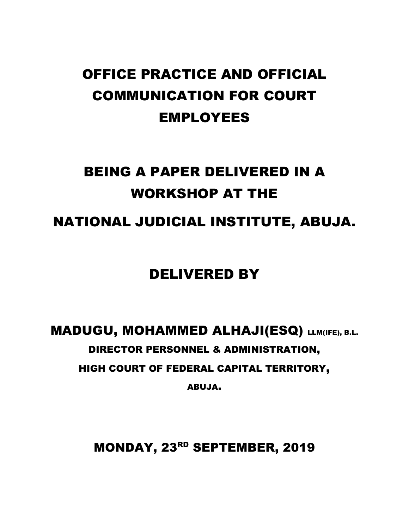## OFFICE PRACTICE AND OFFICIAL COMMUNICATION FOR COURT EMPLOYEES

## BEING A PAPER DELIVERED IN A WORKSHOP AT THE

NATIONAL JUDICIAL INSTITUTE, ABUJA.

## DELIVERED BY

# MADUGU, MOHAMMED ALHAJI(ESQ) LLM(IFE), B.L. DIRECTOR PERSONNEL & ADMINISTRATION, HIGH COURT OF FEDERAL CAPITAL TERRITORY,

ABUJA.

MONDAY, 23RD SEPTEMBER, 2019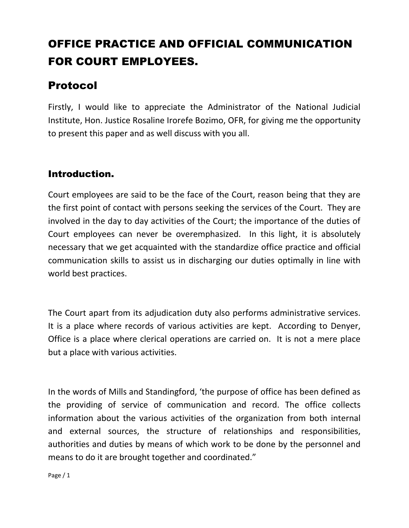## OFFICE PRACTICE AND OFFICIAL COMMUNICATION FOR COURT EMPLOYEES.

## Protocol

Firstly, I would like to appreciate the Administrator of the National Judicial Institute, Hon. Justice Rosaline Irorefe Bozimo, OFR, for giving me the opportunity to present this paper and as well discuss with you all.

### Introduction.

Court employees are said to be the face of the Court, reason being that they are the first point of contact with persons seeking the services of the Court. They are involved in the day to day activities of the Court; the importance of the duties of Court employees can never be overemphasized. In this light, it is absolutely necessary that we get acquainted with the standardize office practice and official communication skills to assist us in discharging our duties optimally in line with world best practices.

The Court apart from its adjudication duty also performs administrative services. It is a place where records of various activities are kept. According to Denyer, Office is a place where clerical operations are carried on. It is not a mere place but a place with various activities.

In the words of Mills and Standingford, 'the purpose of office has been defined as the providing of service of communication and record. The office collects information about the various activities of the organization from both internal and external sources, the structure of relationships and responsibilities, authorities and duties by means of which work to be done by the personnel and means to do it are brought together and coordinated."

Page / 1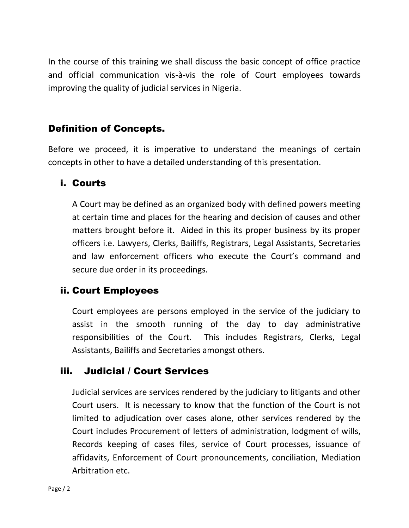In the course of this training we shall discuss the basic concept of office practice and official communication vis-à-vis the role of Court employees towards improving the quality of judicial services in Nigeria.

### Definition of Concepts.

Before we proceed, it is imperative to understand the meanings of certain concepts in other to have a detailed understanding of this presentation.

#### i. Courts

A Court may be defined as an organized body with defined powers meeting at certain time and places for the hearing and decision of causes and other matters brought before it. Aided in this its proper business by its proper officers i.e. Lawyers, Clerks, Bailiffs, Registrars, Legal Assistants, Secretaries and law enforcement officers who execute the Court's command and secure due order in its proceedings.

### ii. Court Employees

Court employees are persons employed in the service of the judiciary to assist in the smooth running of the day to day administrative responsibilities of the Court. This includes Registrars, Clerks, Legal Assistants, Bailiffs and Secretaries amongst others.

### iii. Judicial / Court Services

Judicial services are services rendered by the judiciary to litigants and other Court users. It is necessary to know that the function of the Court is not limited to adjudication over cases alone, other services rendered by the Court includes Procurement of letters of administration, lodgment of wills, Records keeping of cases files, service of Court processes, issuance of affidavits, Enforcement of Court pronouncements, conciliation, Mediation Arbitration etc.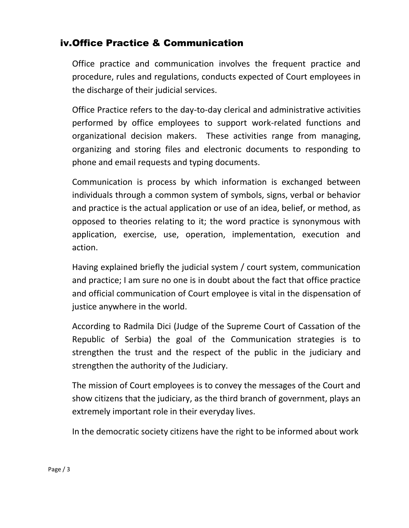## iv.Office Practice & Communication

Office practice and communication involves the frequent practice and procedure, rules and regulations, conducts expected of Court employees in the discharge of their judicial services.

Office Practice refers to the day-to-day clerical and administrative activities performed by office employees to support work-related functions and organizational decision makers. These activities range from managing, organizing and storing files and electronic documents to responding to phone and email requests and typing documents.

Communication is process by which information is exchanged between individuals through a common system of symbols, signs, verbal or behavior and practice is the actual application or use of an idea, belief, or method, as opposed to theories relating to it; the word practice is synonymous with application, exercise, use, operation, implementation, execution and action.

Having explained briefly the judicial system / court system, communication and practice; I am sure no one is in doubt about the fact that office practice and official communication of Court employee is vital in the dispensation of justice anywhere in the world.

According to Radmila Dici (Judge of the Supreme Court of Cassation of the Republic of Serbia) the goal of the Communication strategies is to strengthen the trust and the respect of the public in the judiciary and strengthen the authority of the Judiciary.

The mission of Court employees is to convey the messages of the Court and show citizens that the judiciary, as the third branch of government, plays an extremely important role in their everyday lives.

In the democratic society citizens have the right to be informed about work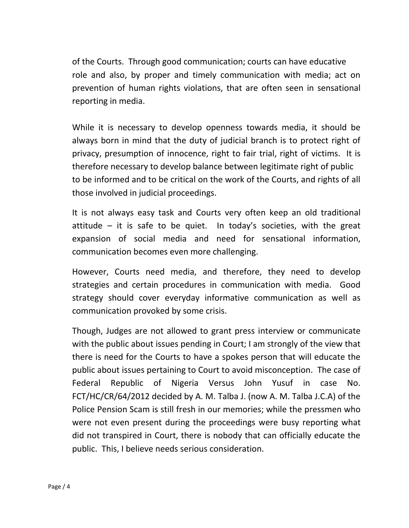of the Courts. Through good communication; courts can have educative role and also, by proper and timely communication with media; act on prevention of human rights violations, that are often seen in sensational reporting in media.

While it is necessary to develop openness towards media, it should be always born in mind that the duty of judicial branch is to protect right of privacy, presumption of innocence, right to fair trial, right of victims. It is therefore necessary to develop balance between legitimate right of public to be informed and to be critical on the work of the Courts, and rights of all those involved in judicial proceedings.

It is not always easy task and Courts very often keep an old traditional attitude – it is safe to be quiet. In today's societies, with the great expansion of social media and need for sensational information, communication becomes even more challenging.

However, Courts need media, and therefore, they need to develop strategies and certain procedures in communication with media. Good strategy should cover everyday informative communication as well as communication provoked by some crisis.

Though, Judges are not allowed to grant press interview or communicate with the public about issues pending in Court; I am strongly of the view that there is need for the Courts to have a spokes person that will educate the public about issues pertaining to Court to avoid misconception. The case of Federal Republic of Nigeria Versus John Yusuf in case No. FCT/HC/CR/64/2012 decided by A. M. Talba J. (now A. M. Talba J.C.A) of the Police Pension Scam is still fresh in our memories; while the pressmen who were not even present during the proceedings were busy reporting what did not transpired in Court, there is nobody that can officially educate the public. This, I believe needs serious consideration.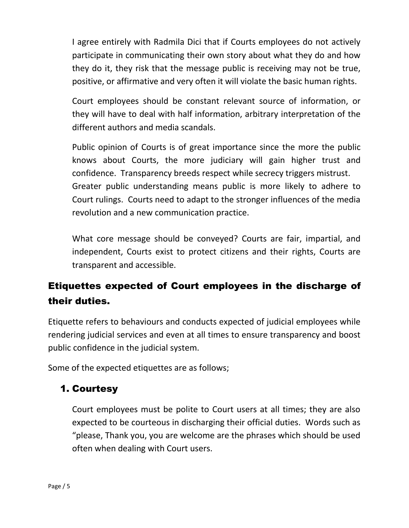I agree entirely with Radmila Dici that if Courts employees do not actively participate in communicating their own story about what they do and how they do it, they risk that the message public is receiving may not be true, positive, or affirmative and very often it will violate the basic human rights.

Court employees should be constant relevant source of information, or they will have to deal with half information, arbitrary interpretation of the different authors and media scandals.

Public opinion of Courts is of great importance since the more the public knows about Courts, the more judiciary will gain higher trust and confidence. Transparency breeds respect while secrecy triggers mistrust. Greater public understanding means public is more likely to adhere to Court rulings. Courts need to adapt to the stronger influences of the media revolution and a new communication practice.

What core message should be conveyed? Courts are fair, impartial, and independent, Courts exist to protect citizens and their rights, Courts are transparent and accessible.

## Etiquettes expected of Court employees in the discharge of their duties.

Etiquette refers to behaviours and conducts expected of judicial employees while rendering judicial services and even at all times to ensure transparency and boost public confidence in the judicial system.

Some of the expected etiquettes are as follows;

## 1. Courtesy

Court employees must be polite to Court users at all times; they are also expected to be courteous in discharging their official duties. Words such as "please, Thank you, you are welcome are the phrases which should be used often when dealing with Court users.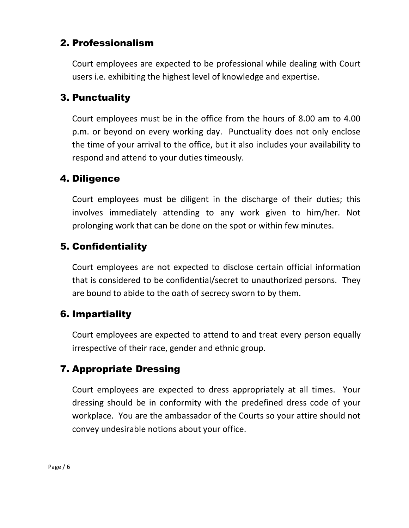## 2. Professionalism

Court employees are expected to be professional while dealing with Court users i.e. exhibiting the highest level of knowledge and expertise.

## 3. Punctuality

Court employees must be in the office from the hours of 8.00 am to 4.00 p.m. or beyond on every working day. Punctuality does not only enclose the time of your arrival to the office, but it also includes your availability to respond and attend to your duties timeously.

## 4. Diligence

Court employees must be diligent in the discharge of their duties; this involves immediately attending to any work given to him/her. Not prolonging work that can be done on the spot or within few minutes.

## 5. Confidentiality

Court employees are not expected to disclose certain official information that is considered to be confidential/secret to unauthorized persons. They are bound to abide to the oath of secrecy sworn to by them.

## 6. Impartiality

Court employees are expected to attend to and treat every person equally irrespective of their race, gender and ethnic group.

## 7. Appropriate Dressing

Court employees are expected to dress appropriately at all times. Your dressing should be in conformity with the predefined dress code of your workplace. You are the ambassador of the Courts so your attire should not convey undesirable notions about your office.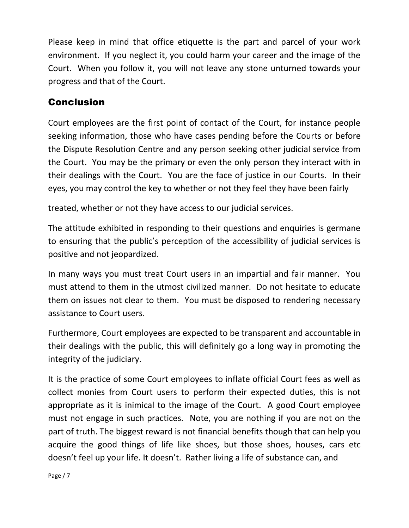Please keep in mind that office etiquette is the part and parcel of your work environment. If you neglect it, you could harm your career and the image of the Court. When you follow it, you will not leave any stone unturned towards your progress and that of the Court.

## Conclusion

Court employees are the first point of contact of the Court, for instance people seeking information, those who have cases pending before the Courts or before the Dispute Resolution Centre and any person seeking other judicial service from the Court. You may be the primary or even the only person they interact with in their dealings with the Court. You are the face of justice in our Courts. In their eyes, you may control the key to whether or not they feel they have been fairly

treated, whether or not they have access to our judicial services.

The attitude exhibited in responding to their questions and enquiries is germane to ensuring that the public's perception of the accessibility of judicial services is positive and not jeopardized.

In many ways you must treat Court users in an impartial and fair manner. You must attend to them in the utmost civilized manner. Do not hesitate to educate them on issues not clear to them. You must be disposed to rendering necessary assistance to Court users.

Furthermore, Court employees are expected to be transparent and accountable in their dealings with the public, this will definitely go a long way in promoting the integrity of the judiciary.

It is the practice of some Court employees to inflate official Court fees as well as collect monies from Court users to perform their expected duties, this is not appropriate as it is inimical to the image of the Court. A good Court employee must not engage in such practices. Note, you are nothing if you are not on the part of truth. The biggest reward is not financial benefits though that can help you acquire the good things of life like shoes, but those shoes, houses, cars etc doesn't feel up your life. It doesn't. Rather living a life of substance can, and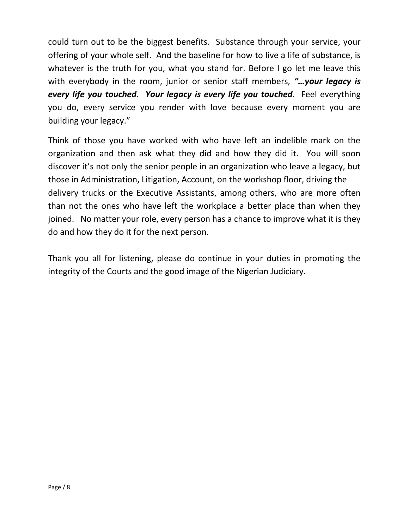could turn out to be the biggest benefits. Substance through your service, your offering of your whole self. And the baseline for how to live a life of substance, is whatever is the truth for you, what you stand for. Before I go let me leave this with everybody in the room, junior or senior staff members, *"…your legacy is every life you touched. Your legacy is every life you touched*. Feel everything you do, every service you render with love because every moment you are building your legacy."

Think of those you have worked with who have left an indelible mark on the organization and then ask what they did and how they did it. You will soon discover it's not only the senior people in an organization who leave a legacy, but those in Administration, Litigation, Account, on the workshop floor, driving the delivery trucks or the Executive Assistants, among others, who are more often than not the ones who have left the workplace a better place than when they joined. No matter your role, every person has a chance to improve what it is they do and how they do it for the next person.

Thank you all for listening, please do continue in your duties in promoting the integrity of the Courts and the good image of the Nigerian Judiciary.